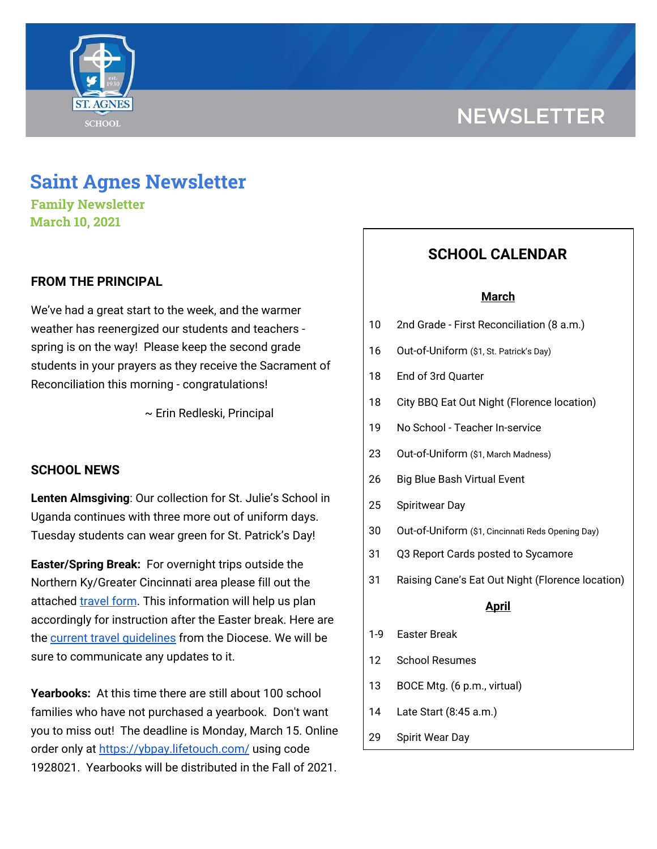

# **Saint Agnes Newsletter**

**Family Newsletter March 10, 2021**

# **FROM THE PRINCIPAL**

We've had a great start to the week, and the warmer weather has reenergized our students and teachers spring is on the way! Please keep the second grade students in your prayers as they receive the Sacrament of Reconciliation this morning - congratulations!

~ Erin Redleski, Principal

#### **SCHOOL NEWS**

**Lenten Almsgiving**: Our collection for St. Julie's School in Uganda continues with three more out of uniform days. Tuesday students can wear green for St. Patrick's Day!

**Easter/Spring Break:** For overnight trips outside the Northern Ky/Greater Cincinnati area please fill out the attached [travel](https://docs.google.com/forms/d/1G4JmfFWk29Sxg_3O81r5EB0F7IYJyTofEAGJ9wd5aO4/edit?ts=5f985dbb&gxids=7628) form. This information will help us plan accordingly for instruction after the Easter break. Here are the current travel quidelines from the Diocese. We will be sure to communicate any updates to it.

**Yearbooks:** At this time there are still about 100 school families who have not purchased a yearbook. Don't want you to miss out! The deadline is Monday, March 15. Online order only at <https://ybpay.lifetouch.com/> using code 1928021. Yearbooks will be distributed in the Fall of 2021.

# **SCHOOL CALENDAR**

#### **March**

- 10 2nd Grade First Reconciliation (8 a.m.)
- 16 Out-of-Uniform (\$1, St. Patrick's Day)
- 18 End of 3rd Quarter
- 18 City BBQ Eat Out Night (Florence location)
- 19 No School Teacher In-service
- 23 Out-of-Uniform (\$1, March Madness)
- 26 Big Blue Bash Virtual Event
- 25 Spiritwear Day
- 30 Out-of-Uniform (\$1, Cincinnati Reds Opening Day)
- 31 Q3 Report Cards posted to Sycamore
- 31 Raising Cane's Eat Out Night (Florence location)

#### **April**

- 1-9 Easter Break
- 12 School Resumes
- 13 BOCE Mtg. (6 p.m., virtual)
- 14 Late Start (8:45 a.m.)
- 29 Spirit Wear Day

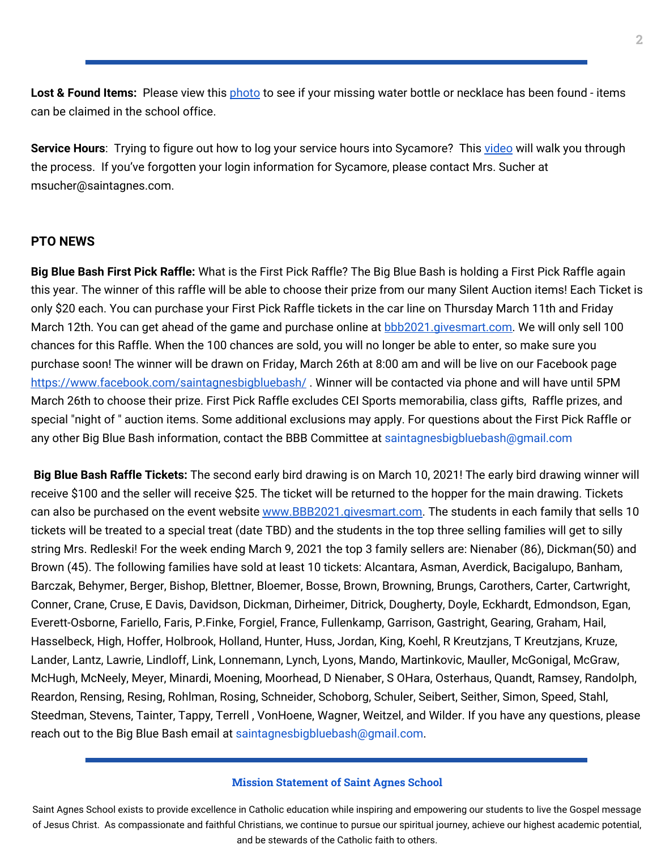**Lost & Found Items:** Please view this **[photo](https://drive.google.com/file/d/1otid3bD2MyNmgOrkpVMxbcoTBkz2hPfA/view?usp=sharing)** to see if your missing water bottle or necklace has been found - items can be claimed in the school office.

Service Hours: Trying to figure out how to log your service hours into Sycamore? This [video](https://drive.google.com/file/d/1cmYj9N-NF2btSiiG8QdTD20q2RJRpwk7/view) will walk you through the process. If you've forgotten your login information for Sycamore, please contact Mrs. Sucher at msucher@saintagnes.com.

#### **PTO NEWS**

**Big Blue Bash First Pick Raffle:** What is the First Pick Raffle? The Big Blue Bash is holding a First Pick Raffle again this year. The winner of this raffle will be able to choose their prize from our many Silent Auction items! Each Ticket is only \$20 each. You can purchase your First Pick Raffle tickets in the car line on Thursday March 11th and Friday March 12th. You can get ahead of the game and purchase online at **[bbb2021.givesmart.com.](http://bbb2021.givesmart.com/)** We will only sell 100 chances for this Raffle. When the 100 chances are sold, you will no longer be able to enter, so make sure you purchase soon! The winner will be drawn on Friday, March 26th at 8:00 am and will be live on our Facebook page <https://www.facebook.com/saintagnesbigbluebash/>. Winner will be contacted via phone and will have until 5PM March 26th to choose their prize. First Pick Raffle excludes CEI Sports memorabilia, class gifts, Raffle prizes, and special "night of " auction items. Some additional exclusions may apply. For questions about the First Pick Raffle or any other Big Blue Bash information, contact the BBB Committee at saintagnesbigbluebash@gmail.com

**Big Blue Bash Raffle Tickets:** The second early bird drawing is on March 10, 2021! The early bird drawing winner will receive \$100 and the seller will receive \$25. The ticket will be returned to the hopper for the main drawing. Tickets can also be purchased on the event website [www.BBB2021.givesmart.com.](http://www.bbb2021.givesmart.com/) The students in each family that sells 10 tickets will be treated to a special treat (date TBD) and the students in the top three selling families will get to silly string Mrs. Redleski! For the week ending March 9, 2021 the top 3 family sellers are: Nienaber (86), Dickman(50) and Brown (45). The following families have sold at least 10 tickets: Alcantara, Asman, Averdick, Bacigalupo, Banham, Barczak, Behymer, Berger, Bishop, Blettner, Bloemer, Bosse, Brown, Browning, Brungs, Carothers, Carter, Cartwright, Conner, Crane, Cruse, E Davis, Davidson, Dickman, Dirheimer, Ditrick, Dougherty, Doyle, Eckhardt, Edmondson, Egan, Everett-Osborne, Fariello, Faris, P.Finke, Forgiel, France, Fullenkamp, Garrison, Gastright, Gearing, Graham, Hail, Hasselbeck, High, Hoffer, Holbrook, Holland, Hunter, Huss, Jordan, King, Koehl, R Kreutzjans, T Kreutzjans, Kruze, Lander, Lantz, Lawrie, Lindloff, Link, Lonnemann, Lynch, Lyons, Mando, Martinkovic, Mauller, McGonigal, McGraw, McHugh, McNeely, Meyer, Minardi, Moening, Moorhead, D Nienaber, S OHara, Osterhaus, Quandt, Ramsey, Randolph, Reardon, Rensing, Resing, Rohlman, Rosing, Schneider, Schoborg, Schuler, Seibert, Seither, Simon, Speed, Stahl, Steedman, Stevens, Tainter, Tappy, Terrell , VonHoene, Wagner, Weitzel, and Wilder. If you have any questions, please reach out to the Big Blue Bash email at saintagnesbigbluebash@gmail.com.

#### **Mission Statement of Saint Agnes School**

Saint Agnes School exists to provide excellence in Catholic education while inspiring and empowering our students to live the Gospel message of Jesus Christ. As compassionate and faithful Christians, we continue to pursue our spiritual journey, achieve our highest academic potential, and be stewards of the Catholic faith to others.